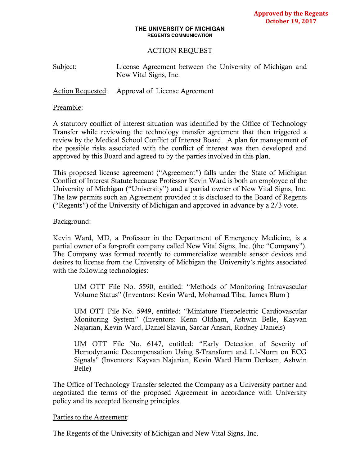#### **THE UNIVERSITY OF MICHIGAN REGENTS COMMUNICATION**

## ACTION REQUEST

Subject: License Agreement between the University of Michigan and New Vital Signs, Inc.

Action Requested: Approval of License Agreement

#### Preamble:

A statutory conflict of interest situation was identified by the Office of Technology Transfer while reviewing the technology transfer agreement that then triggered a review by the Medical School Conflict of Interest Board. A plan for management of the possible risks associated with the conflict of interest was then developed and approved by this Board and agreed to by the parties involved in this plan.

This proposed license agreement ("Agreement") falls under the State of Michigan Conflict of Interest Statute because Professor Kevin Ward is both an employee of the University of Michigan ("University") and a partial owner of New Vital Signs, Inc. The law permits such an Agreement provided it is disclosed to the Board of Regents ("Regents") of the University of Michigan and approved in advance by a 2/3 vote.

### Background:

Kevin Ward, MD, a Professor in the Department of Emergency Medicine, is a partial owner of a for-profit company called New Vital Signs, Inc. (the "Company"). The Company was formed recently to commercialize wearable sensor devices and desires to license from the University of Michigan the University's rights associated with the following technologies:

UM OTT File No. 5590, entitled: "Methods of Monitoring Intravascular Volume Status" (Inventors: Kevin Ward, Mohamad Tiba, James Blum )

UM OTT File No. 5949, entitled: "Miniature Piezoelectric Cardiovascular Monitoring System" (Inventors: Kenn Oldham, Ashwin Belle, Kayvan Najarian, Kevin Ward, Daniel Slavin, Sardar Ansari, Rodney Daniels)

UM OTT File No. 6147, entitled: "Early Detection of Severity of Hemodynamic Decompensation Using S-Transform and L1-Norm on ECG Signals" (Inventors: Kayvan Najarian, Kevin Ward Harm Derksen, Ashwin Belle)

The Office of Technology Transfer selected the Company as a University partner and negotiated the terms of the proposed Agreement in accordance with University policy and its accepted licensing principles.

### Parties to the Agreement:

The Regents of the University of Michigan and New Vital Signs, Inc.